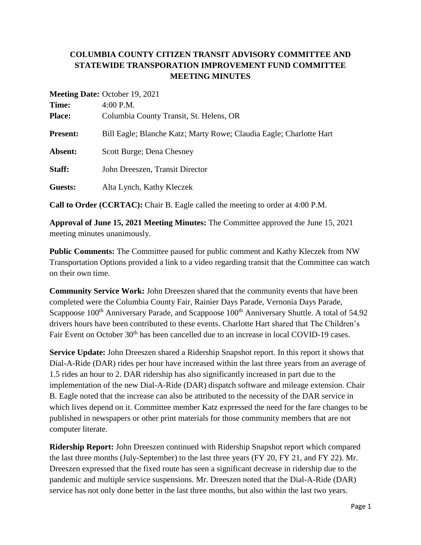## **COLUMBIA COUNTY CITIZEN TRANSIT ADVISORY COMMITTEE AND STATEWIDE TRANSPORATION IMPROVEMENT FUND COMMITTEE MEETING MINUTES**

|                 | <b>Meeting Date:</b> October 19, 2021                               |
|-----------------|---------------------------------------------------------------------|
| Time:           | $4:00$ P.M.                                                         |
| <b>Place:</b>   | Columbia County Transit, St. Helens, OR                             |
| <b>Present:</b> | Bill Eagle; Blanche Katz; Marty Rowe; Claudia Eagle; Charlotte Hart |
| Absent:         | Scott Burge; Dena Chesney                                           |
| Staff:          | John Dreeszen, Transit Director                                     |
| Guests:         | Alta Lynch, Kathy Kleczek                                           |
|                 |                                                                     |

**Meeting Date:** October 19, 2021

**Call to Order (CCRTAC):** Chair B. Eagle called the meeting to order at 4:00 P.M.

**Approval of June 15, 2021 Meeting Minutes:** The Committee approved the June 15, 2021 meeting minutes unanimously.

**Public Comments:** The Committee paused for public comment and Kathy Kleczek from NW Transportation Options provided a link to a video regarding transit that the Committee can watch on their own time.

**Community Service Work:** John Dreeszen shared that the community events that have been completed were the Columbia County Fair, Rainier Days Parade, Vernonia Days Parade, Scappoose 100<sup>th</sup> Anniversary Parade, and Scappoose 100<sup>th</sup> Anniversary Shuttle. A total of 54.92 drivers hours have been contributed to these events. Charlotte Hart shared that The Children's Fair Event on October 30<sup>th</sup> has been cancelled due to an increase in local COVID-19 cases.

**Service Update:** John Dreeszen shared a Ridership Snapshot report. In this report it shows that Dial-A-Ride (DAR) rides per hour have increased within the last three years from an average of 1.5 rides an hour to 2. DAR ridership has also significantly increased in part due to the implementation of the new Dial-A-Ride (DAR) dispatch software and mileage extension. Chair B. Eagle noted that the increase can also be attributed to the necessity of the DAR service in which lives depend on it. Committee member Katz expressed the need for the fare changes to be published in newspapers or other print materials for those community members that are not computer literate.

**Ridership Report:** John Dreeszen continued with Ridership Snapshot report which compared the last three months (July-September) to the last three years (FY 20, FY 21, and FY 22). Mr. Dreeszen expressed that the fixed route has seen a significant decrease in ridership due to the pandemic and multiple service suspensions. Mr. Dreeszen noted that the Dial-A-Ride (DAR) service has not only done better in the last three months, but also within the last two years.